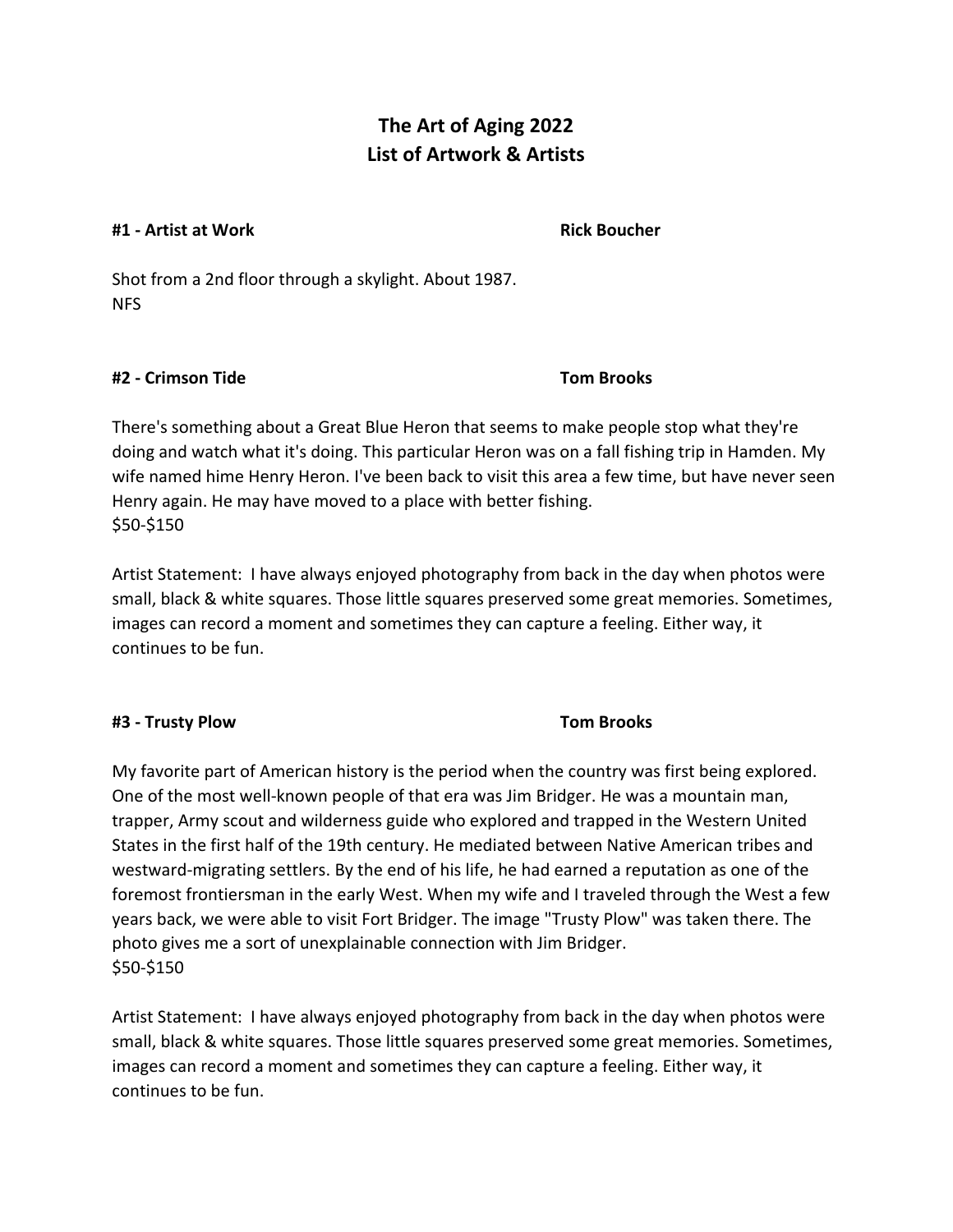# **The Art of Aging 2022 List of Artwork & Artists**

### **#1 - Artist at Work Rick Boucher**

Shot from a 2nd floor through a skylight. About 1987. NFS

## **#2 - Crimson Tide Tom Brooks**

There's something about a Great Blue Heron that seems to make people stop what they're doing and watch what it's doing. This particular Heron was on a fall fishing trip in Hamden. My wife named hime Henry Heron. I've been back to visit this area a few time, but have never seen Henry again. He may have moved to a place with better fishing. \$50-\$150

Artist Statement: I have always enjoyed photography from back in the day when photos were small, black & white squares. Those little squares preserved some great memories. Sometimes, images can record a moment and sometimes they can capture a feeling. Either way, it continues to be fun.

## **#3 - Trusty Plow Tom Brooks**

My favorite part of American history is the period when the country was first being explored. One of the most well-known people of that era was Jim Bridger. He was a mountain man, trapper, Army scout and wilderness guide who explored and trapped in the Western United States in the first half of the 19th century. He mediated between Native American tribes and westward-migrating settlers. By the end of his life, he had earned a reputation as one of the foremost frontiersman in the early West. When my wife and I traveled through the West a few years back, we were able to visit Fort Bridger. The image "Trusty Plow" was taken there. The photo gives me a sort of unexplainable connection with Jim Bridger. \$50-\$150

Artist Statement: I have always enjoyed photography from back in the day when photos were small, black & white squares. Those little squares preserved some great memories. Sometimes, images can record a moment and sometimes they can capture a feeling. Either way, it continues to be fun.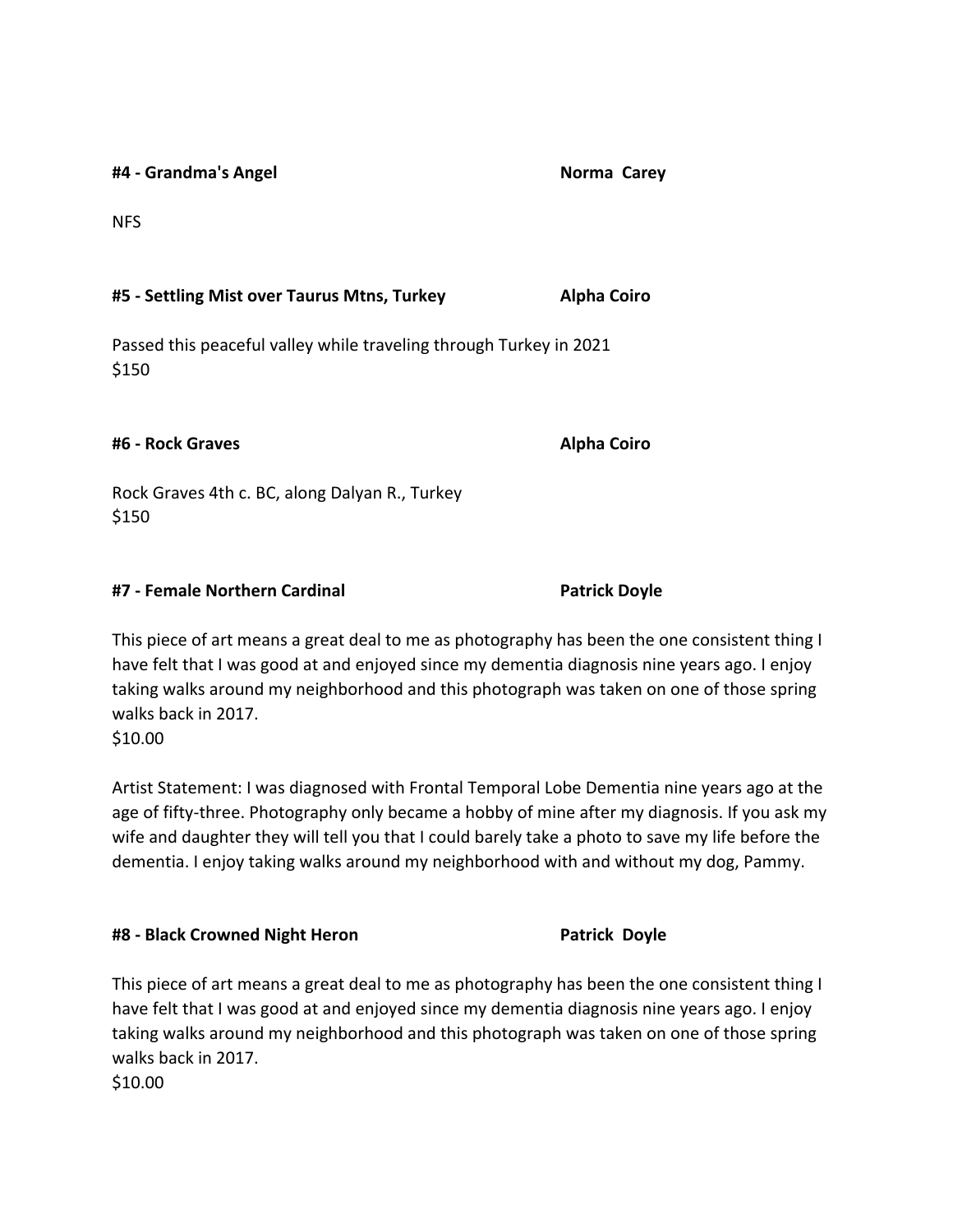**#4 - Grandma's Angel Norma Carey**

NFS

### **#5 - Settling Mist over Taurus Mtns, Turkey Alpha Coiro**

Passed this peaceful valley while traveling through Turkey in 2021 \$150

**#6 - Rock Graves Alpha Coiro**

Rock Graves 4th c. BC, along Dalyan R., Turkey \$150

## **#7 - Female Northern Cardinal Patrick Doyle**

This piece of art means a great deal to me as photography has been the one consistent thing I have felt that I was good at and enjoyed since my dementia diagnosis nine years ago. I enjoy taking walks around my neighborhood and this photograph was taken on one of those spring walks back in 2017. \$10.00

Artist Statement: I was diagnosed with Frontal Temporal Lobe Dementia nine years ago at the age of fifty-three. Photography only became a hobby of mine after my diagnosis. If you ask my wife and daughter they will tell you that I could barely take a photo to save my life before the dementia. I enjoy taking walks around my neighborhood with and without my dog, Pammy.

## **#8 - Black Crowned Night Heron Patrick Doyle**

This piece of art means a great deal to me as photography has been the one consistent thing I have felt that I was good at and enjoyed since my dementia diagnosis nine years ago. I enjoy taking walks around my neighborhood and this photograph was taken on one of those spring walks back in 2017.

\$10.00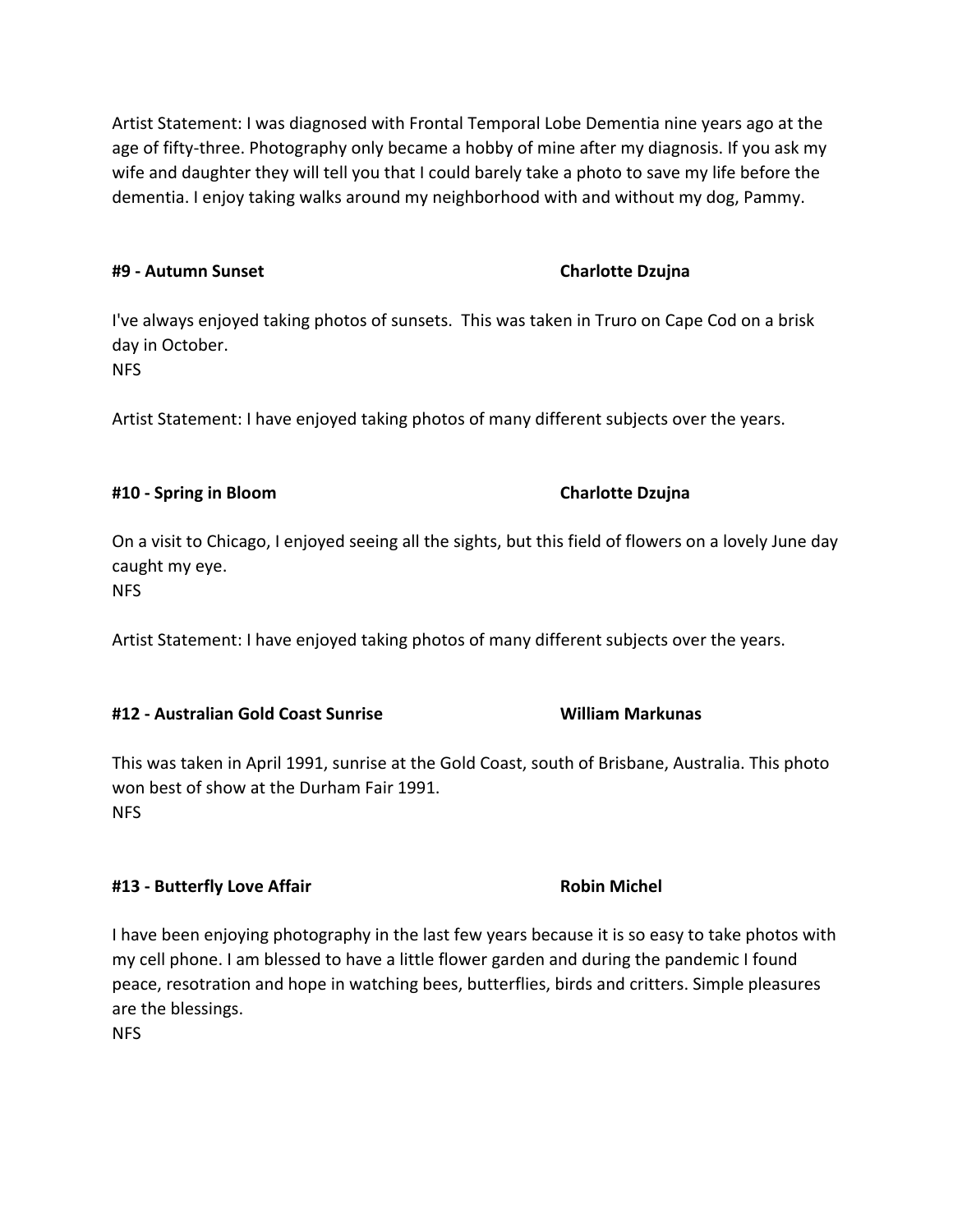Artist Statement: I was diagnosed with Frontal Temporal Lobe Dementia nine years ago at the age of fifty-three. Photography only became a hobby of mine after my diagnosis. If you ask my wife and daughter they will tell you that I could barely take a photo to save my life before the dementia. I enjoy taking walks around my neighborhood with and without my dog, Pammy.

## **#9 - Autumn Sunset Charlotte Dzujna**

I've always enjoyed taking photos of sunsets. This was taken in Truro on Cape Cod on a brisk day in October.

NFS

Artist Statement: I have enjoyed taking photos of many different subjects over the years.

# **#10 - Spring in Bloom Charlotte Dzujna**

On a visit to Chicago, I enjoyed seeing all the sights, but this field of flowers on a lovely June day caught my eye. NFS

Artist Statement: I have enjoyed taking photos of many different subjects over the years.

# **#12 - Australian Gold Coast Sunrise William Markunas**

This was taken in April 1991, sunrise at the Gold Coast, south of Brisbane, Australia. This photo won best of show at the Durham Fair 1991. NFS

# **#13 - Butterfly Love Affair Robin Michel**

I have been enjoying photography in the last few years because it is so easy to take photos with my cell phone. I am blessed to have a little flower garden and during the pandemic I found peace, resotration and hope in watching bees, butterflies, birds and critters. Simple pleasures are the blessings.

NFS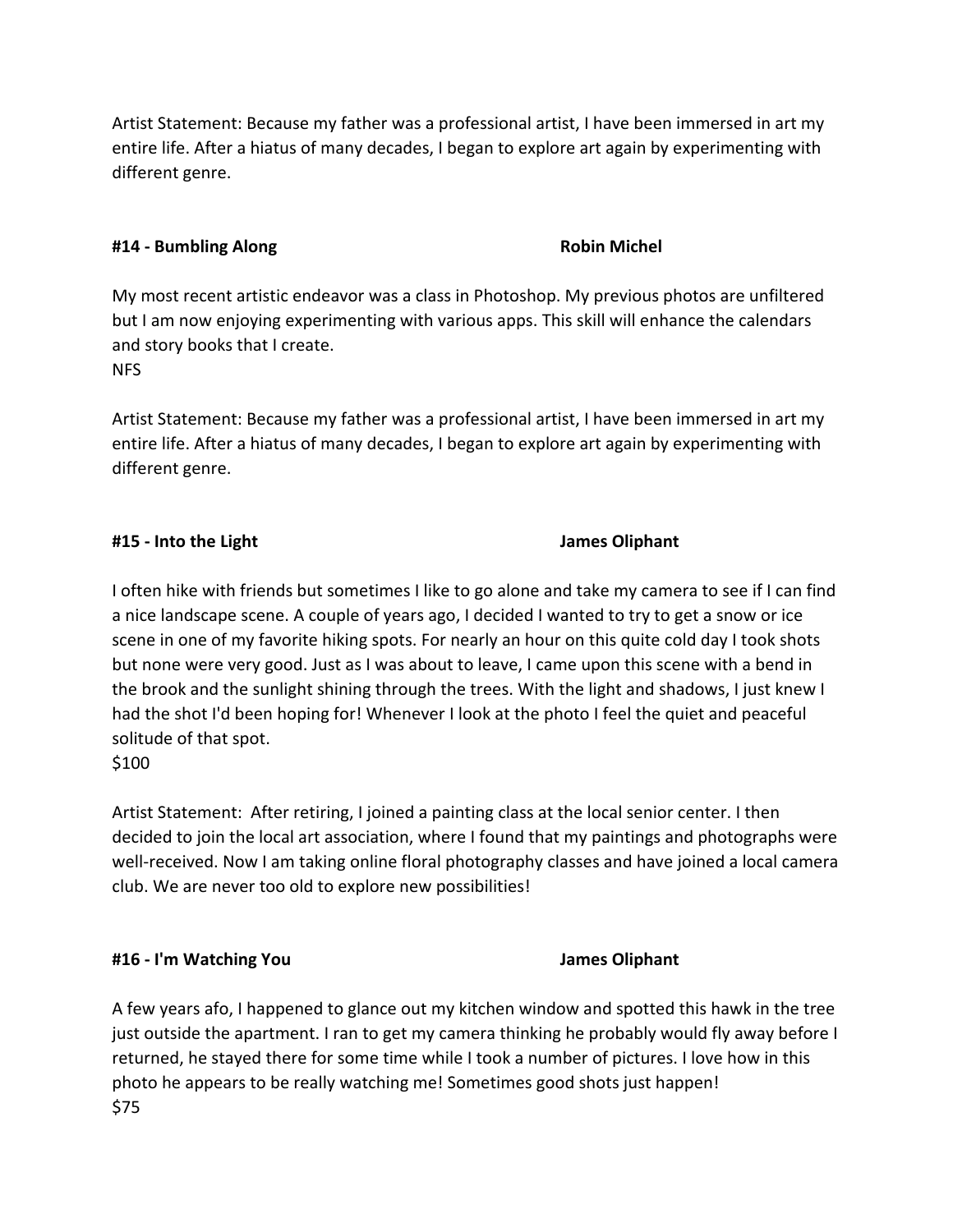Artist Statement: Because my father was a professional artist, I have been immersed in art my entire life. After a hiatus of many decades, I began to explore art again by experimenting with different genre.

### **#14 - Bumbling Along Robin Michel**

My most recent artistic endeavor was a class in Photoshop. My previous photos are unfiltered but I am now enjoying experimenting with various apps. This skill will enhance the calendars and story books that I create. NFS

Artist Statement: Because my father was a professional artist, I have been immersed in art my entire life. After a hiatus of many decades, I began to explore art again by experimenting with different genre.

## **#15 - Into the Light James Oliphant**

I often hike with friends but sometimes I like to go alone and take my camera to see if I can find a nice landscape scene. A couple of years ago, I decided I wanted to try to get a snow or ice scene in one of my favorite hiking spots. For nearly an hour on this quite cold day I took shots but none were very good. Just as I was about to leave, I came upon this scene with a bend in the brook and the sunlight shining through the trees. With the light and shadows, I just knew I had the shot I'd been hoping for! Whenever I look at the photo I feel the quiet and peaceful solitude of that spot.

\$100

Artist Statement: After retiring, I joined a painting class at the local senior center. I then decided to join the local art association, where I found that my paintings and photographs were well-received. Now I am taking online floral photography classes and have joined a local camera club. We are never too old to explore new possibilities!

## **#16 - I'm Watching You James Oliphant**

A few years afo, I happened to glance out my kitchen window and spotted this hawk in the tree just outside the apartment. I ran to get my camera thinking he probably would fly away before I returned, he stayed there for some time while I took a number of pictures. I love how in this photo he appears to be really watching me! Sometimes good shots just happen! \$75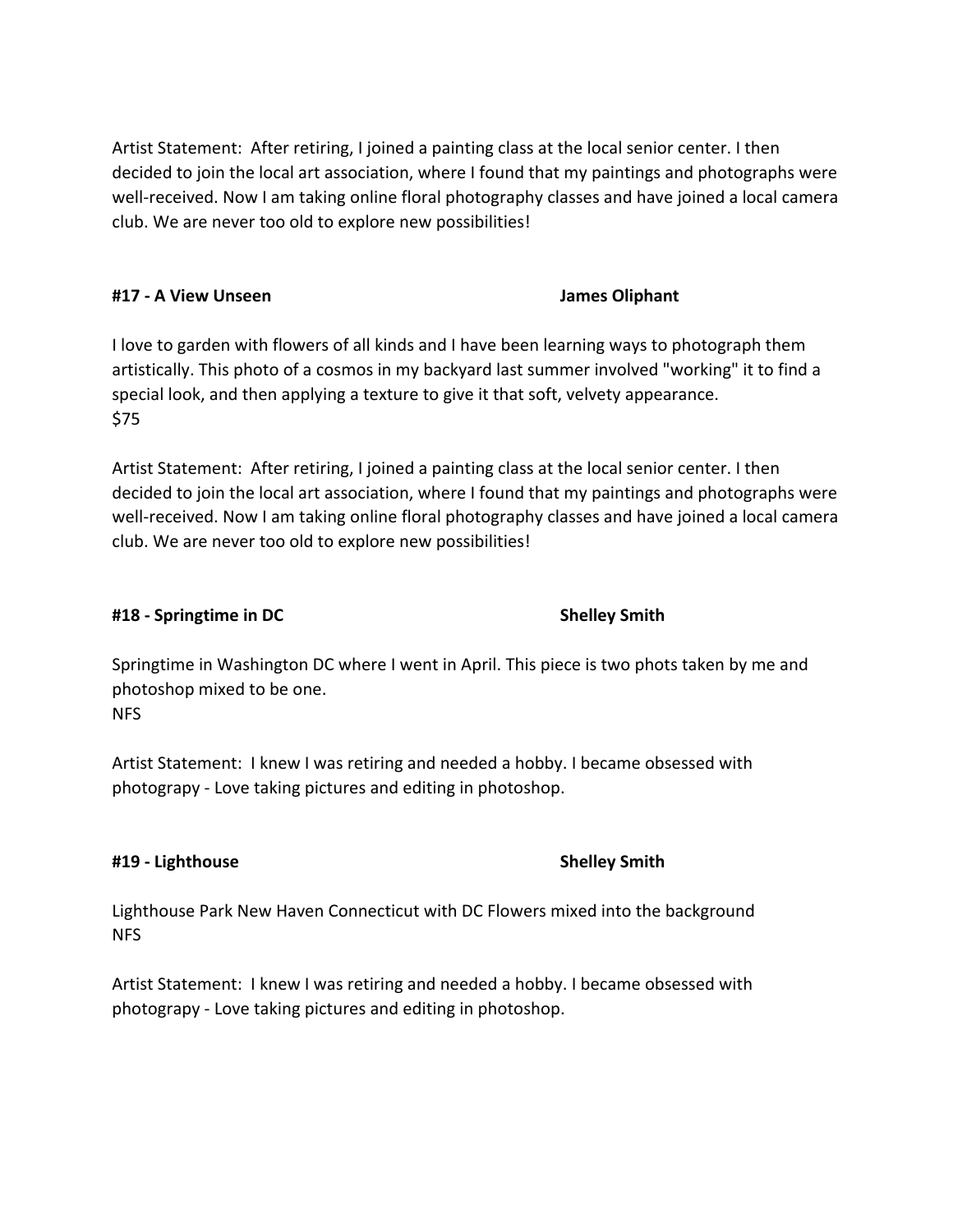Artist Statement: After retiring, I joined a painting class at the local senior center. I then decided to join the local art association, where I found that my paintings and photographs were well-received. Now I am taking online floral photography classes and have joined a local camera club. We are never too old to explore new possibilities!

## **#17 - A View Unseen James Oliphant**

I love to garden with flowers of all kinds and I have been learning ways to photograph them artistically. This photo of a cosmos in my backyard last summer involved "working" it to find a special look, and then applying a texture to give it that soft, velvety appearance. \$75

Artist Statement: After retiring, I joined a painting class at the local senior center. I then decided to join the local art association, where I found that my paintings and photographs were well-received. Now I am taking online floral photography classes and have joined a local camera club. We are never too old to explore new possibilities!

## **#18 - Springtime in DC Shelley Smith**

Springtime in Washington DC where I went in April. This piece is two phots taken by me and photoshop mixed to be one. NFS

Artist Statement: I knew I was retiring and needed a hobby. I became obsessed with photograpy - Love taking pictures and editing in photoshop.

## **#19 - Lighthouse Shelley Smith**

Lighthouse Park New Haven Connecticut with DC Flowers mixed into the background NFS

Artist Statement: I knew I was retiring and needed a hobby. I became obsessed with photograpy - Love taking pictures and editing in photoshop.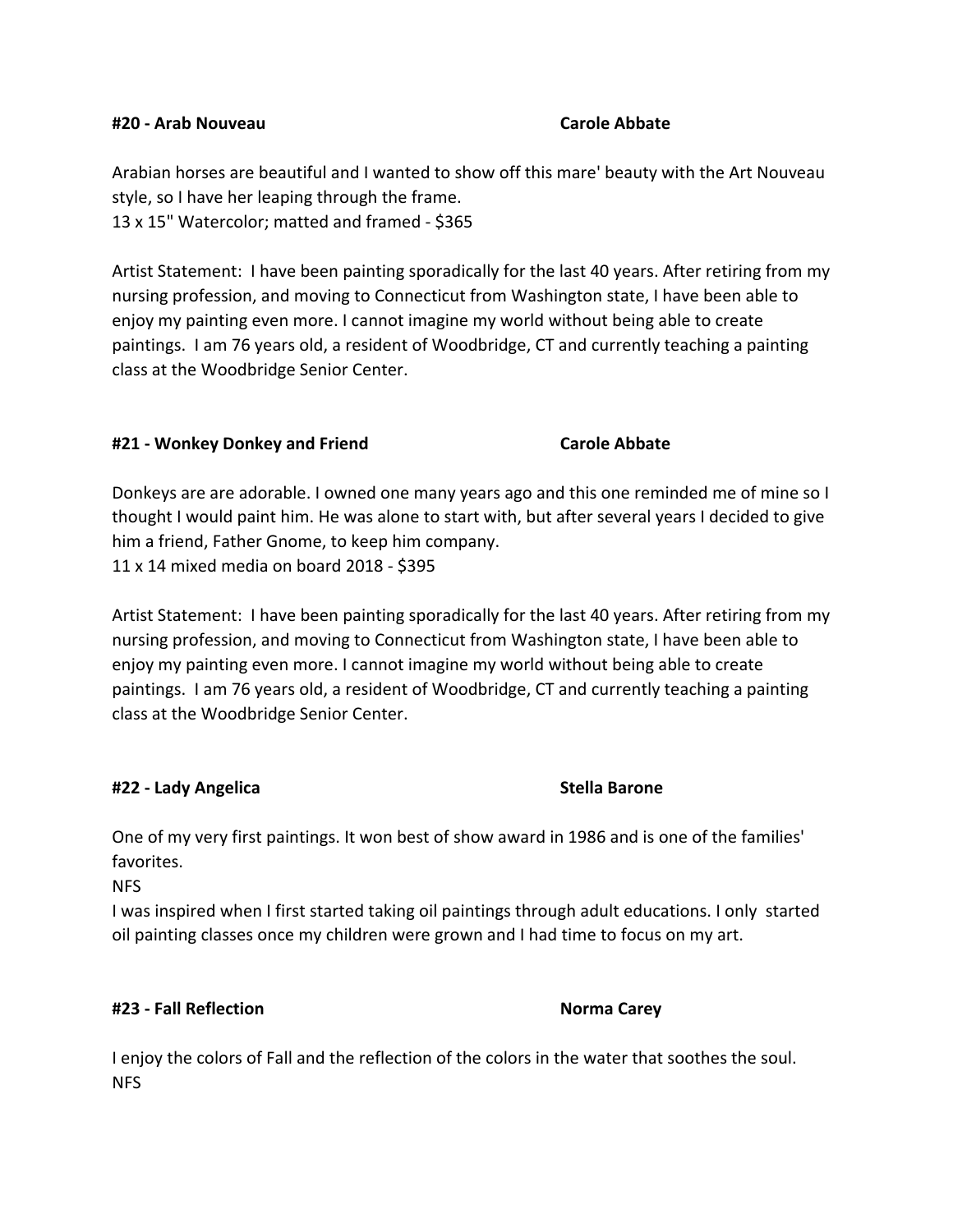### **#20 - Arab Nouveau Carole Abbate**

Arabian horses are beautiful and I wanted to show off this mare' beauty with the Art Nouveau style, so I have her leaping through the frame. 13 x 15" Watercolor; matted and framed - \$365

Artist Statement: I have been painting sporadically for the last 40 years. After retiring from my nursing profession, and moving to Connecticut from Washington state, I have been able to enjoy my painting even more. I cannot imagine my world without being able to create paintings. I am 76 years old, a resident of Woodbridge, CT and currently teaching a painting class at the Woodbridge Senior Center.

### **#21 - Wonkey Donkey and Friend Carole Abbate**

Donkeys are are adorable. I owned one many years ago and this one reminded me of mine so I thought I would paint him. He was alone to start with, but after several years I decided to give him a friend, Father Gnome, to keep him company. 11 x 14 mixed media on board 2018 - \$395

Artist Statement: I have been painting sporadically for the last 40 years. After retiring from my nursing profession, and moving to Connecticut from Washington state, I have been able to enjoy my painting even more. I cannot imagine my world without being able to create paintings. I am 76 years old, a resident of Woodbridge, CT and currently teaching a painting class at the Woodbridge Senior Center.

## **#22 - Lady Angelica Stella Barone**

One of my very first paintings. It won best of show award in 1986 and is one of the families' favorites.

NFS

I was inspired when I first started taking oil paintings through adult educations. I only started oil painting classes once my children were grown and I had time to focus on my art.

## **#23 - Fall Reflection Norma Carey**

I enjoy the colors of Fall and the reflection of the colors in the water that soothes the soul. NFS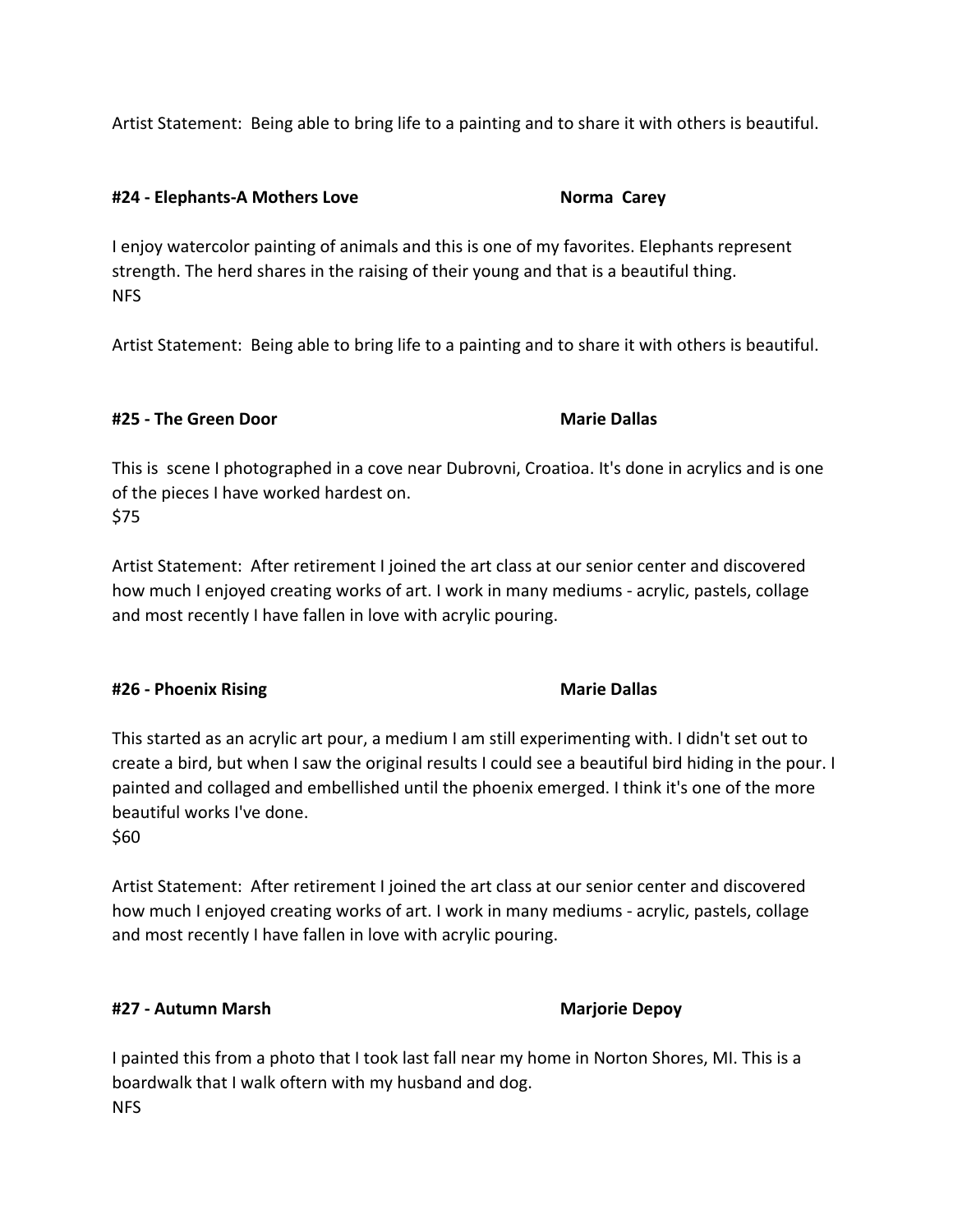Artist Statement: Being able to bring life to a painting and to share it with others is beautiful.

### **#24 - Elephants-A Mothers Love Norma Carey**

I enjoy watercolor painting of animals and this is one of my favorites. Elephants represent strength. The herd shares in the raising of their young and that is a beautiful thing. NFS

Artist Statement: Being able to bring life to a painting and to share it with others is beautiful.

## **#25 - The Green Door Marie Dallas**

This is scene I photographed in a cove near Dubrovni, Croatioa. It's done in acrylics and is one of the pieces I have worked hardest on. \$75

Artist Statement: After retirement I joined the art class at our senior center and discovered how much I enjoyed creating works of art. I work in many mediums - acrylic, pastels, collage and most recently I have fallen in love with acrylic pouring.

## **#26 - Phoenix Rising Marie Dallas**

This started as an acrylic art pour, a medium I am still experimenting with. I didn't set out to create a bird, but when I saw the original results I could see a beautiful bird hiding in the pour. I painted and collaged and embellished until the phoenix emerged. I think it's one of the more beautiful works I've done. \$60

Artist Statement: After retirement I joined the art class at our senior center and discovered how much I enjoyed creating works of art. I work in many mediums - acrylic, pastels, collage and most recently I have fallen in love with acrylic pouring.

## **#27 - Autumn Marsh Marjorie Depoy**

I painted this from a photo that I took last fall near my home in Norton Shores, MI. This is a boardwalk that I walk oftern with my husband and dog. NFS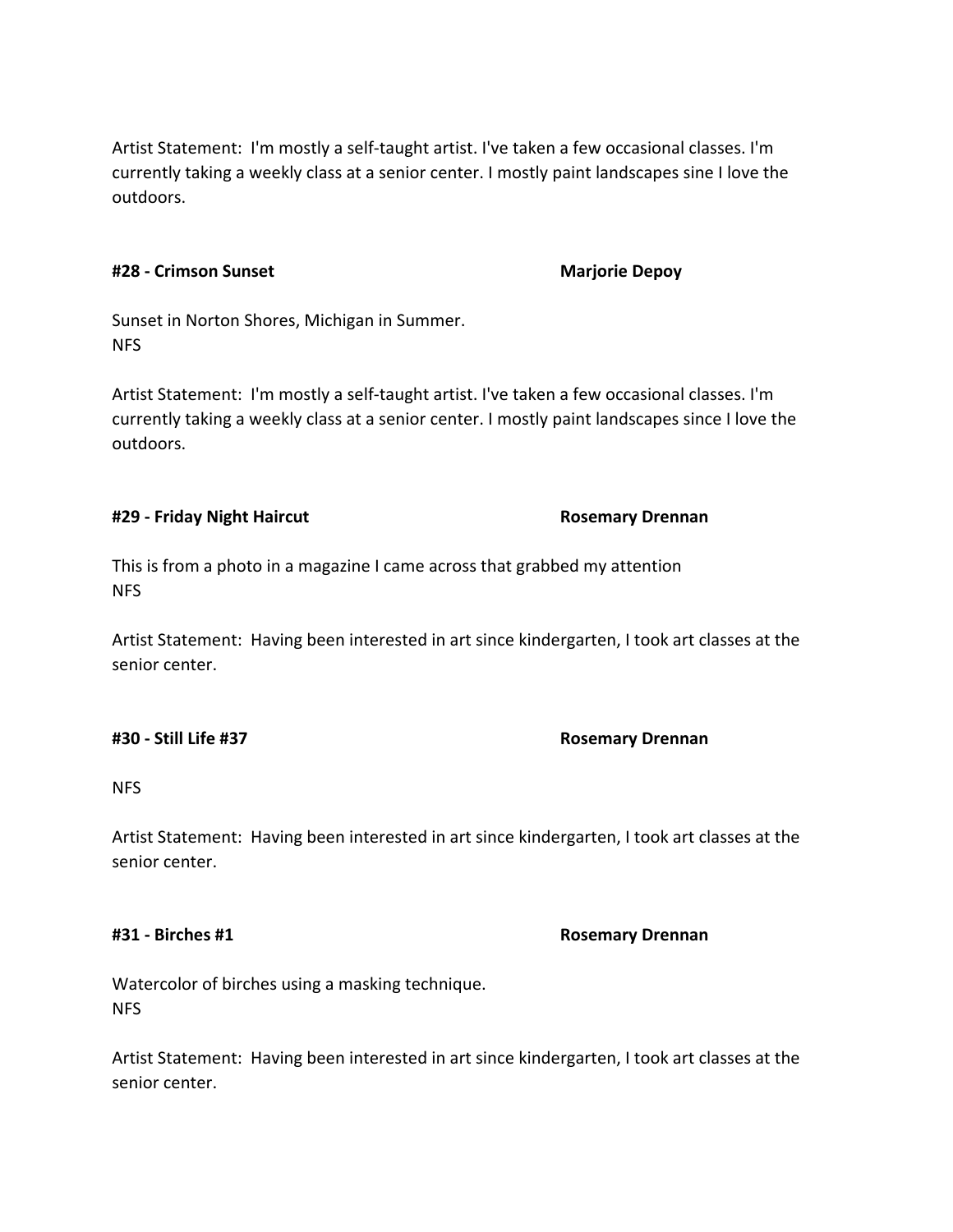Artist Statement: I'm mostly a self-taught artist. I've taken a few occasional classes. I'm currently taking a weekly class at a senior center. I mostly paint landscapes sine I love the outdoors.

### **#28 - Crimson Sunset Marjorie Depoy**

Sunset in Norton Shores, Michigan in Summer. NFS

Artist Statement: I'm mostly a self-taught artist. I've taken a few occasional classes. I'm currently taking a weekly class at a senior center. I mostly paint landscapes since I love the outdoors.

### **#29 - Friday Night Haircut Rosemary Drennan**

This is from a photo in a magazine I came across that grabbed my attention NFS

Artist Statement: Having been interested in art since kindergarten, I took art classes at the senior center.

# NFS

Artist Statement: Having been interested in art since kindergarten, I took art classes at the senior center.

### **#31 - Birches #1 Rosemary Drennan**

Watercolor of birches using a masking technique. NFS

Artist Statement: Having been interested in art since kindergarten, I took art classes at the senior center.

### **#30 - Still Life #37 Rosemary Drennan**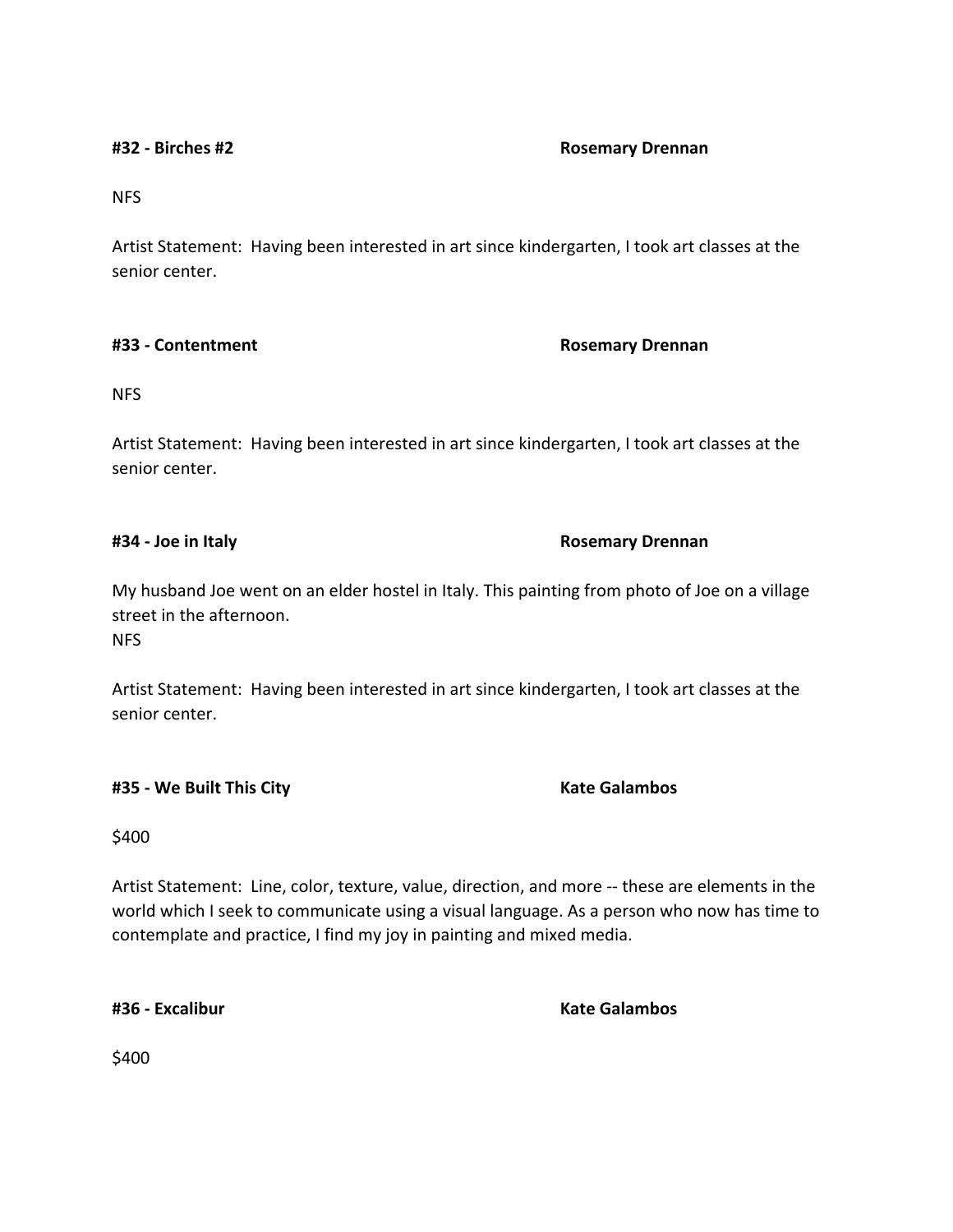### **#32 - Birches #2 Rosemary Drennan**

NFS

Artist Statement: Having been interested in art since kindergarten, I took art classes at the senior center.

### **#33 - Contentment Rosemary Drennan**

NFS

Artist Statement: Having been interested in art since kindergarten, I took art classes at the senior center.

### **#34 - Joe in Italy Rosemary Drennan**

My husband Joe went on an elder hostel in Italy. This painting from photo of Joe on a village street in the afternoon. NFS

Artist Statement: Having been interested in art since kindergarten, I took art classes at the senior center.

**#35 - We Built This City Kate Galambos**

\$400

Artist Statement: Line, color, texture, value, direction, and more -- these are elements in the world which I seek to communicate using a visual language. As a person who now has time to contemplate and practice, I find my joy in painting and mixed media.

**#36 - Excalibur Kate Galambos**

\$400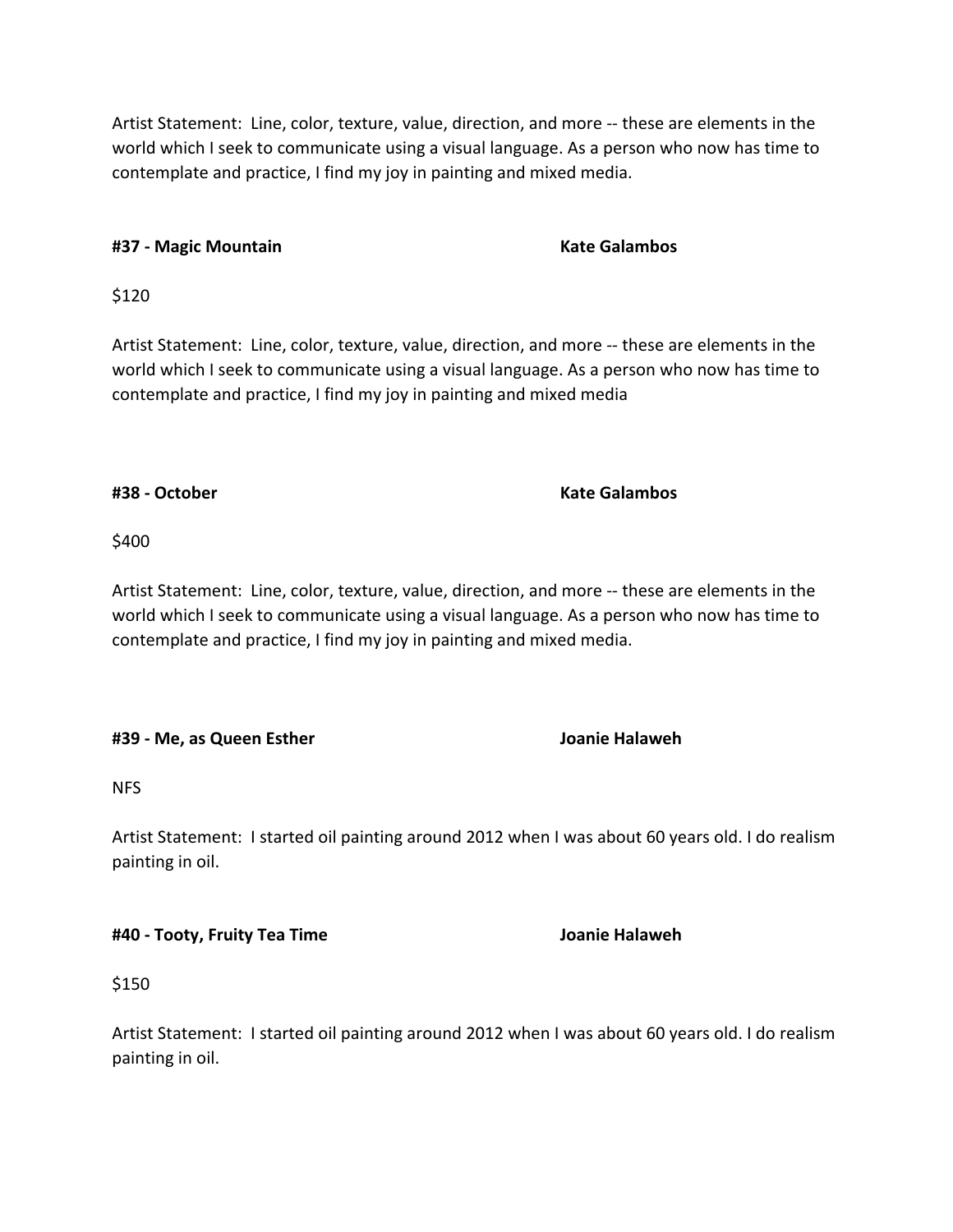Artist Statement: Line, color, texture, value, direction, and more -- these are elements in the world which I seek to communicate using a visual language. As a person who now has time to contemplate and practice, I find my joy in painting and mixed media.

# **#37 - Magic Mountain Kate Galambos**

\$120

Artist Statement: Line, color, texture, value, direction, and more -- these are elements in the world which I seek to communicate using a visual language. As a person who now has time to contemplate and practice, I find my joy in painting and mixed media

# **#38 - October Kate Galambos**

# \$400

Artist Statement: Line, color, texture, value, direction, and more -- these are elements in the world which I seek to communicate using a visual language. As a person who now has time to contemplate and practice, I find my joy in painting and mixed media.

# **#39 - Me, as Queen Esther Joanie Halaweh**

NFS

Artist Statement: I started oil painting around 2012 when I was about 60 years old. I do realism painting in oil.

**#40 - Tooty, Fruity Tea Time Joanie Halaweh**

\$150

Artist Statement: I started oil painting around 2012 when I was about 60 years old. I do realism painting in oil.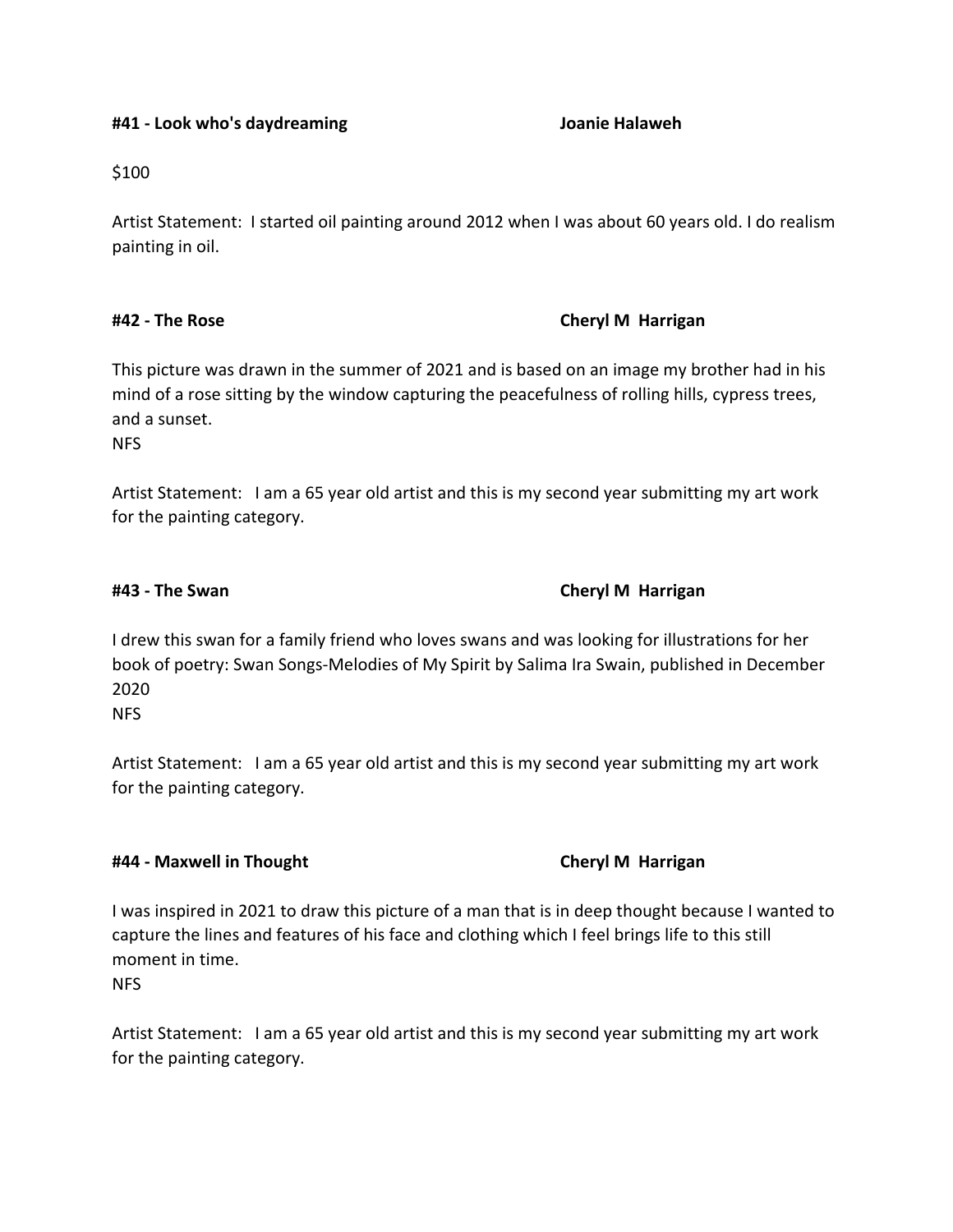### **#41 - Look who's daydreaming Joanie Halaweh**

\$100

Artist Statement: I started oil painting around 2012 when I was about 60 years old. I do realism painting in oil.

## **#42 - The Rose Cheryl M Harrigan**

This picture was drawn in the summer of 2021 and is based on an image my brother had in his mind of a rose sitting by the window capturing the peacefulness of rolling hills, cypress trees, and a sunset.

NFS

Artist Statement: I am a 65 year old artist and this is my second year submitting my art work for the painting category.

## **#43 - The Swan Cheryl M Harrigan**

I drew this swan for a family friend who loves swans and was looking for illustrations for her book of poetry: Swan Songs-Melodies of My Spirit by Salima Ira Swain, published in December 2020 NFS

Artist Statement: I am a 65 year old artist and this is my second year submitting my art work for the painting category.

## **#44 - Maxwell in Thought Cheryl M Harrigan**

I was inspired in 2021 to draw this picture of a man that is in deep thought because I wanted to capture the lines and features of his face and clothing which I feel brings life to this still moment in time.

NFS

Artist Statement: I am a 65 year old artist and this is my second year submitting my art work for the painting category.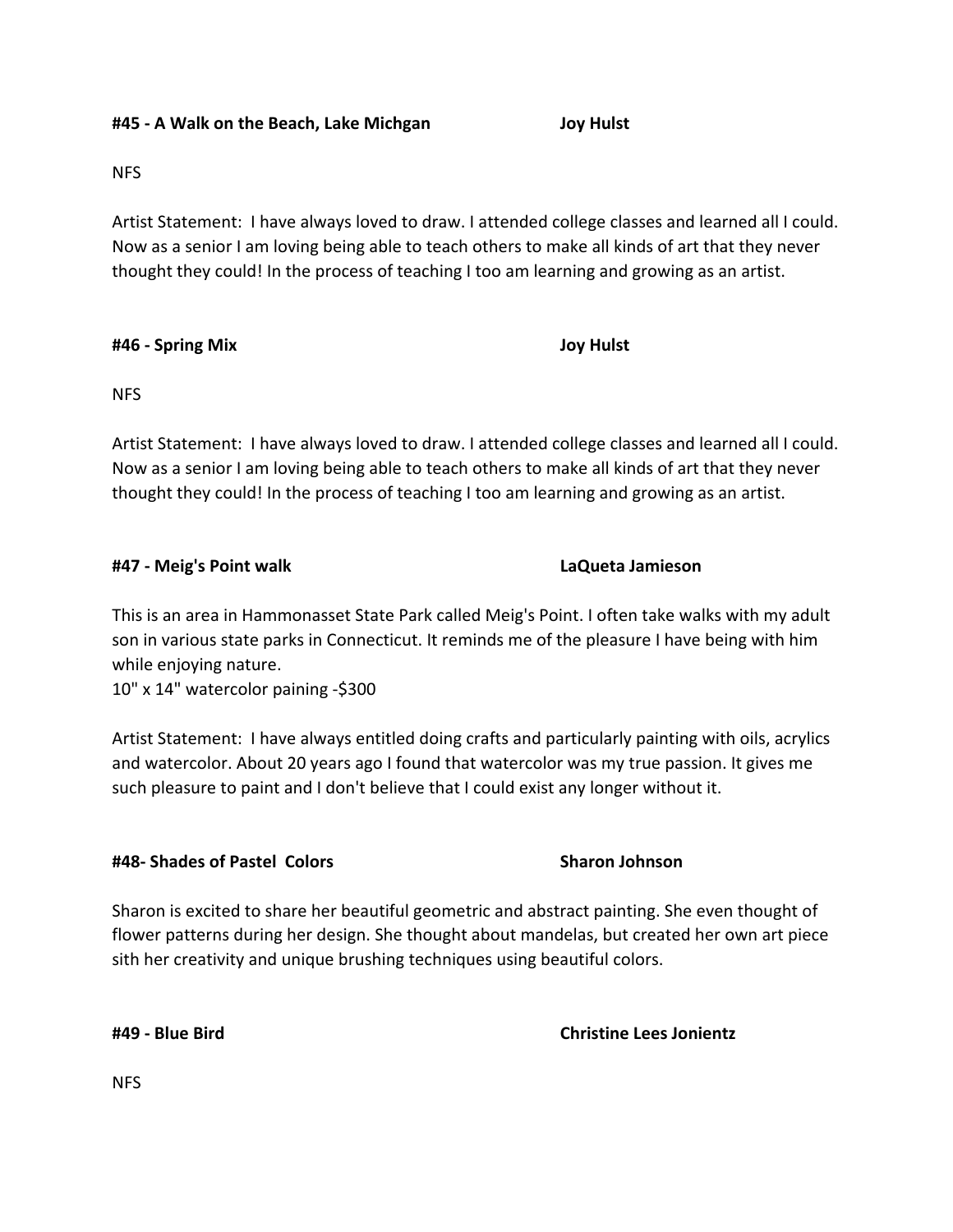NFS

Artist Statement: I have always loved to draw. I attended college classes and learned all I could. Now as a senior I am loving being able to teach others to make all kinds of art that they never thought they could! In the process of teaching I too am learning and growing as an artist.

### **#46 - Spring Mix Joy Hulst**

NFS

Artist Statement: I have always loved to draw. I attended college classes and learned all I could. Now as a senior I am loving being able to teach others to make all kinds of art that they never thought they could! In the process of teaching I too am learning and growing as an artist.

### **#47 - Meig's Point walk LaQueta Jamieson**

This is an area in Hammonasset State Park called Meig's Point. I often take walks with my adult son in various state parks in Connecticut. It reminds me of the pleasure I have being with him while enjoying nature.

10" x 14" watercolor paining -\$300

Artist Statement: I have always entitled doing crafts and particularly painting with oils, acrylics and watercolor. About 20 years ago I found that watercolor was my true passion. It gives me such pleasure to paint and I don't believe that I could exist any longer without it.

### **#48- Shades of Pastel Colors Sharon Johnson**

Sharon is excited to share her beautiful geometric and abstract painting. She even thought of flower patterns during her design. She thought about mandelas, but created her own art piece sith her creativity and unique brushing techniques using beautiful colors.

**#49 - Blue Bird Christine Lees Jonientz**

NFS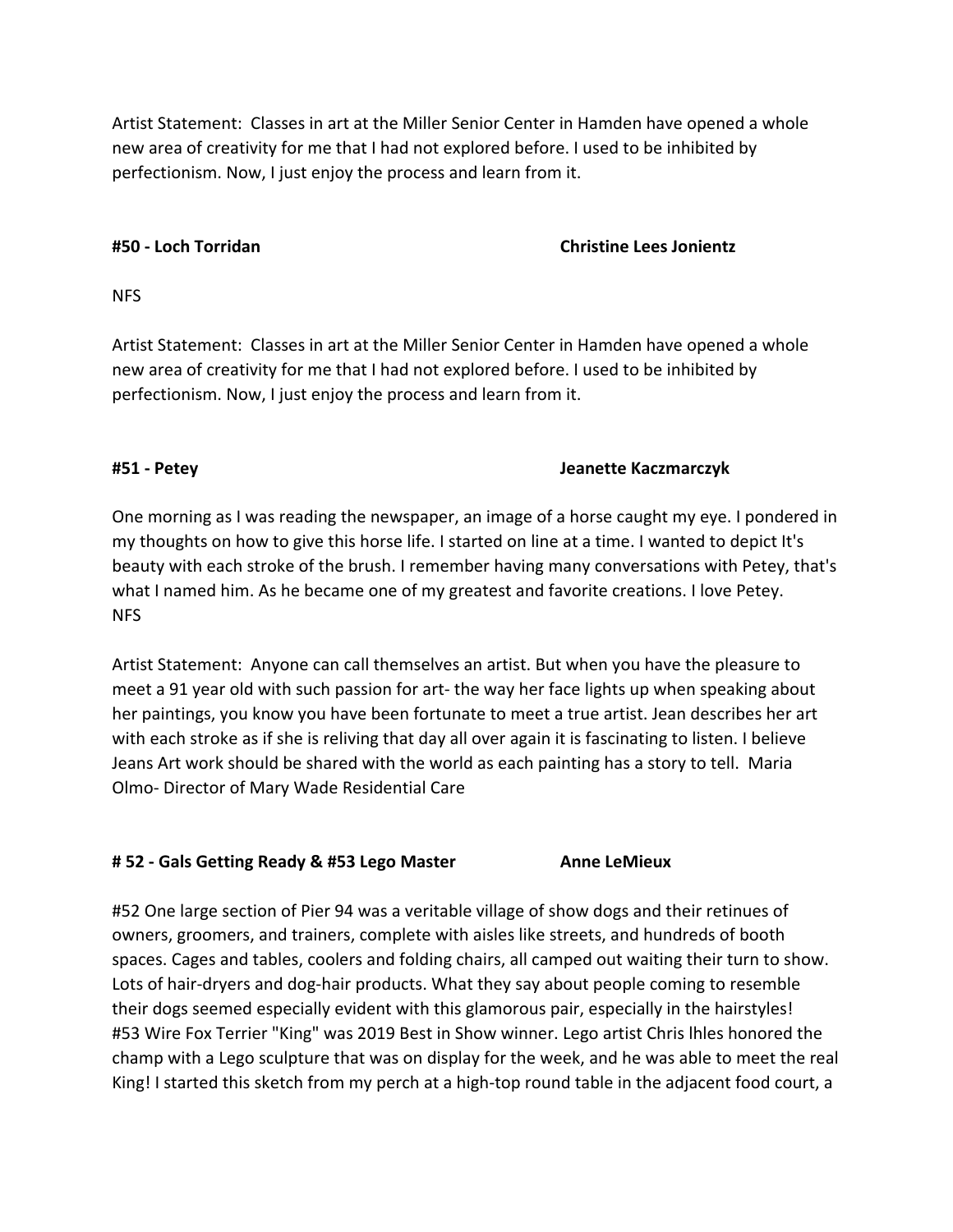Artist Statement: Classes in art at the Miller Senior Center in Hamden have opened a whole new area of creativity for me that I had not explored before. I used to be inhibited by perfectionism. Now, I just enjoy the process and learn from it.

## **#50 - Loch Torridan Christine Lees Jonientz**

NFS

Artist Statement: Classes in art at the Miller Senior Center in Hamden have opened a whole new area of creativity for me that I had not explored before. I used to be inhibited by perfectionism. Now, I just enjoy the process and learn from it.

## **#51 - Petey Jeanette Kaczmarczyk**

One morning as I was reading the newspaper, an image of a horse caught my eye. I pondered in my thoughts on how to give this horse life. I started on line at a time. I wanted to depict It's beauty with each stroke of the brush. I remember having many conversations with Petey, that's what I named him. As he became one of my greatest and favorite creations. I love Petey. NFS

Artist Statement: Anyone can call themselves an artist. But when you have the pleasure to meet a 91 year old with such passion for art- the way her face lights up when speaking about her paintings, you know you have been fortunate to meet a true artist. Jean describes her art with each stroke as if she is reliving that day all over again it is fascinating to listen. I believe Jeans Art work should be shared with the world as each painting has a story to tell. Maria Olmo- Director of Mary Wade Residential Care

## **# 52 - Gals Getting Ready & #53 Lego Master Anne LeMieux**

#52 One large section of Pier 94 was a veritable village of show dogs and their retinues of owners, groomers, and trainers, complete with aisles like streets, and hundreds of booth spaces. Cages and tables, coolers and folding chairs, all camped out waiting their turn to show. Lots of hair-dryers and dog-hair products. What they say about people coming to resemble their dogs seemed especially evident with this glamorous pair, especially in the hairstyles! #53 Wire Fox Terrier "King" was 2019 Best in Show winner. Lego artist Chris lhles honored the champ with a Lego sculpture that was on display for the week, and he was able to meet the real King! I started this sketch from my perch at a high-top round table in the adjacent food court, a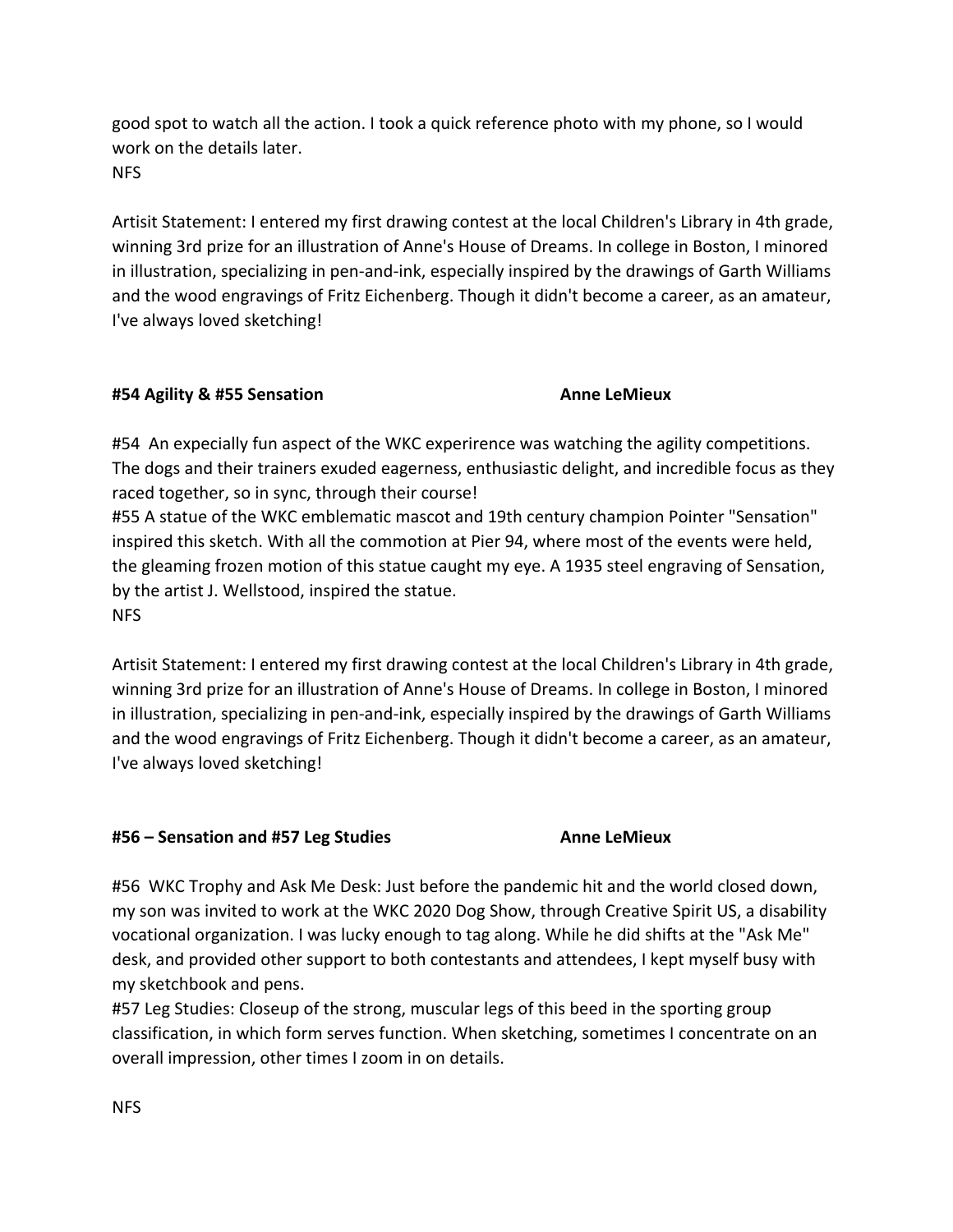good spot to watch all the action. I took a quick reference photo with my phone, so I would work on the details later. **NFS** 

Artisit Statement: I entered my first drawing contest at the local Children's Library in 4th grade, winning 3rd prize for an illustration of Anne's House of Dreams. In college in Boston, I minored in illustration, specializing in pen-and-ink, especially inspired by the drawings of Garth Williams and the wood engravings of Fritz Eichenberg. Though it didn't become a career, as an amateur, I've always loved sketching!

# **#54 Agility & #55 Sensation Anne LeMieux**

#54 An expecially fun aspect of the WKC experirence was watching the agility competitions. The dogs and their trainers exuded eagerness, enthusiastic delight, and incredible focus as they raced together, so in sync, through their course!

#55 A statue of the WKC emblematic mascot and 19th century champion Pointer "Sensation" inspired this sketch. With all the commotion at Pier 94, where most of the events were held, the gleaming frozen motion of this statue caught my eye. A 1935 steel engraving of Sensation, by the artist J. Wellstood, inspired the statue. NFS

Artisit Statement: I entered my first drawing contest at the local Children's Library in 4th grade, winning 3rd prize for an illustration of Anne's House of Dreams. In college in Boston, I minored in illustration, specializing in pen-and-ink, especially inspired by the drawings of Garth Williams and the wood engravings of Fritz Eichenberg. Though it didn't become a career, as an amateur, I've always loved sketching!

## **#56 – Sensation and #57 Leg Studies Anne LeMieux**

#56 WKC Trophy and Ask Me Desk: Just before the pandemic hit and the world closed down, my son was invited to work at the WKC 2020 Dog Show, through Creative Spirit US, a disability vocational organization. I was lucky enough to tag along. While he did shifts at the "Ask Me" desk, and provided other support to both contestants and attendees, I kept myself busy with my sketchbook and pens.

#57 Leg Studies: Closeup of the strong, muscular legs of this beed in the sporting group classification, in which form serves function. When sketching, sometimes I concentrate on an overall impression, other times I zoom in on details.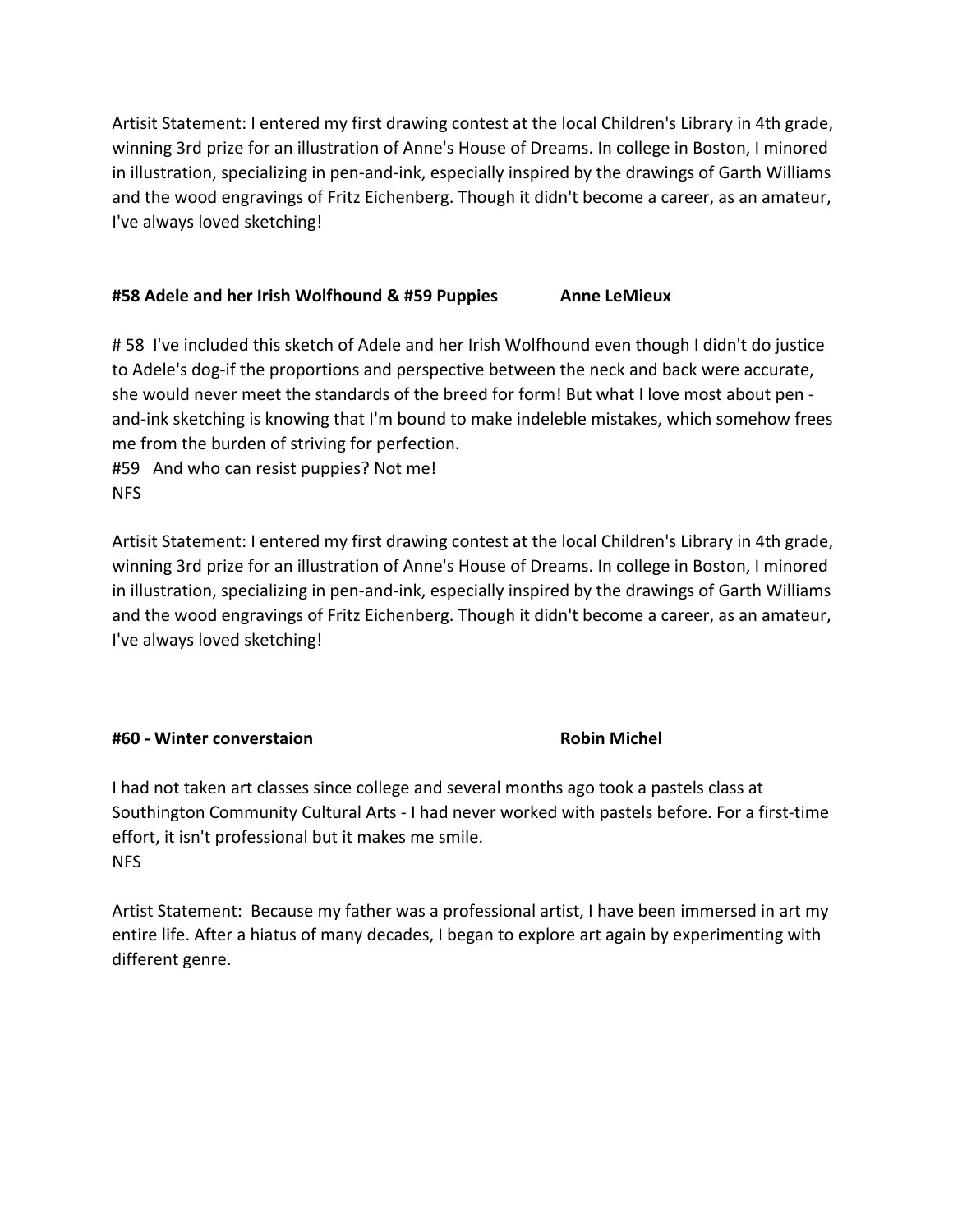Artisit Statement: I entered my first drawing contest at the local Children's Library in 4th grade, winning 3rd prize for an illustration of Anne's House of Dreams. In college in Boston, I minored in illustration, specializing in pen-and-ink, especially inspired by the drawings of Garth Williams and the wood engravings of Fritz Eichenberg. Though it didn't become a career, as an amateur, I've always loved sketching!

## **#58 Adele and her Irish Wolfhound & #59 Puppies Anne LeMieux**

# 58 I've included this sketch of Adele and her Irish Wolfhound even though I didn't do justice to Adele's dog-if the proportions and perspective between the neck and back were accurate, she would never meet the standards of the breed for form! But what I love most about pen and-ink sketching is knowing that I'm bound to make indeleble mistakes, which somehow frees me from the burden of striving for perfection.

#59 And who can resist puppies? Not me! NFS

Artisit Statement: I entered my first drawing contest at the local Children's Library in 4th grade, winning 3rd prize for an illustration of Anne's House of Dreams. In college in Boston, I minored in illustration, specializing in pen-and-ink, especially inspired by the drawings of Garth Williams and the wood engravings of Fritz Eichenberg. Though it didn't become a career, as an amateur, I've always loved sketching!

## **#60 - Winter converstaion Robin Michel**

I had not taken art classes since college and several months ago took a pastels class at Southington Community Cultural Arts - I had never worked with pastels before. For a first-time effort, it isn't professional but it makes me smile. NFS

Artist Statement: Because my father was a professional artist, I have been immersed in art my entire life. After a hiatus of many decades, I began to explore art again by experimenting with different genre.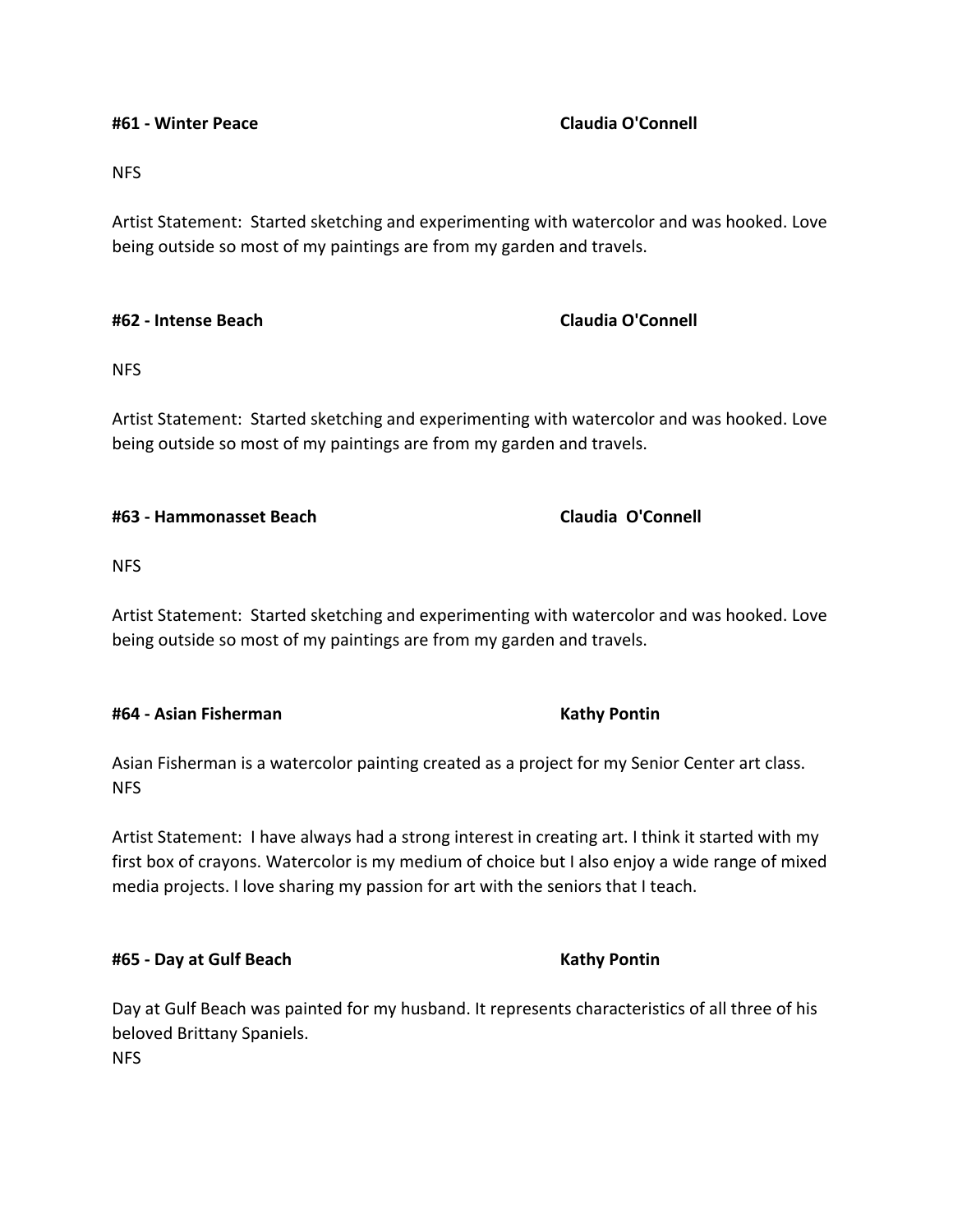**#61 - Winter Peace Claudia O'Connell**

NFS

Artist Statement: Started sketching and experimenting with watercolor and was hooked. Love being outside so most of my paintings are from my garden and travels.

### **#62 - Intense Beach Claudia O'Connell**

NFS

Artist Statement: Started sketching and experimenting with watercolor and was hooked. Love being outside so most of my paintings are from my garden and travels.

### **#63 - Hammonasset Beach Claudia O'Connell**

NFS

Artist Statement: Started sketching and experimenting with watercolor and was hooked. Love being outside so most of my paintings are from my garden and travels.

### **#64 - Asian Fisherman Kathy Pontin**

Asian Fisherman is a watercolor painting created as a project for my Senior Center art class. NFS

Artist Statement: I have always had a strong interest in creating art. I think it started with my first box of crayons. Watercolor is my medium of choice but I also enjoy a wide range of mixed media projects. I love sharing my passion for art with the seniors that I teach.

### **#65 - Day at Gulf Beach Kathy Pontin**

Day at Gulf Beach was painted for my husband. It represents characteristics of all three of his beloved Brittany Spaniels. NFS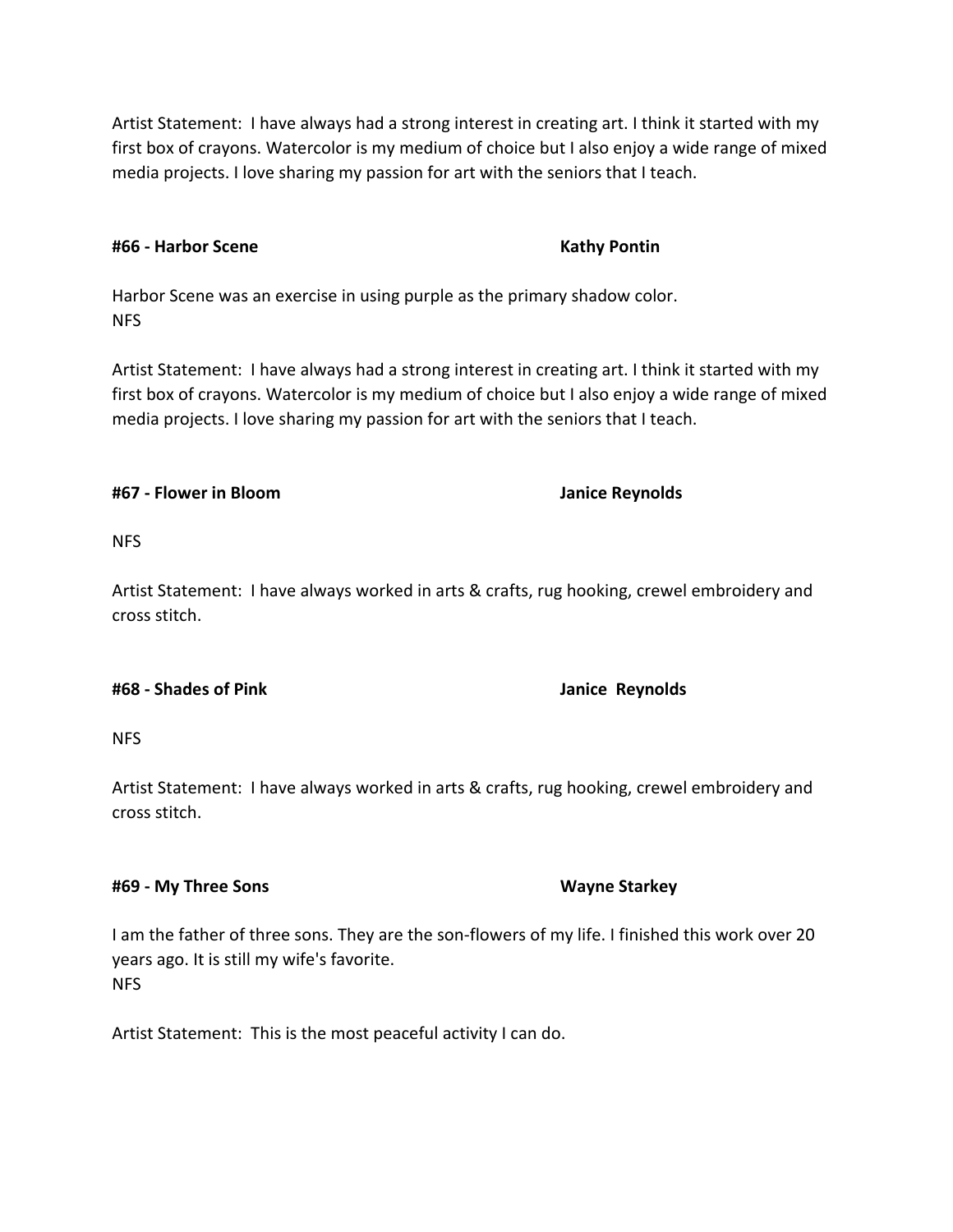Artist Statement: I have always had a strong interest in creating art. I think it started with my first box of crayons. Watercolor is my medium of choice but I also enjoy a wide range of mixed media projects. I love sharing my passion for art with the seniors that I teach.

# **#66 - Harbor Scene Kathy Pontin**

Harbor Scene was an exercise in using purple as the primary shadow color. NFS

Artist Statement: I have always had a strong interest in creating art. I think it started with my first box of crayons. Watercolor is my medium of choice but I also enjoy a wide range of mixed media projects. I love sharing my passion for art with the seniors that I teach.

# **#67 - Flower in Bloom Janice Reynolds**

NFS

Artist Statement: I have always worked in arts & crafts, rug hooking, crewel embroidery and cross stitch.

## **#68 - Shades of Pink Janice Reynolds**

NFS

Artist Statement: I have always worked in arts & crafts, rug hooking, crewel embroidery and cross stitch.

## **#69 - My Three Sons Wayne Starkey**

I am the father of three sons. They are the son-flowers of my life. I finished this work over 20 years ago. It is still my wife's favorite. NFS

Artist Statement: This is the most peaceful activity I can do.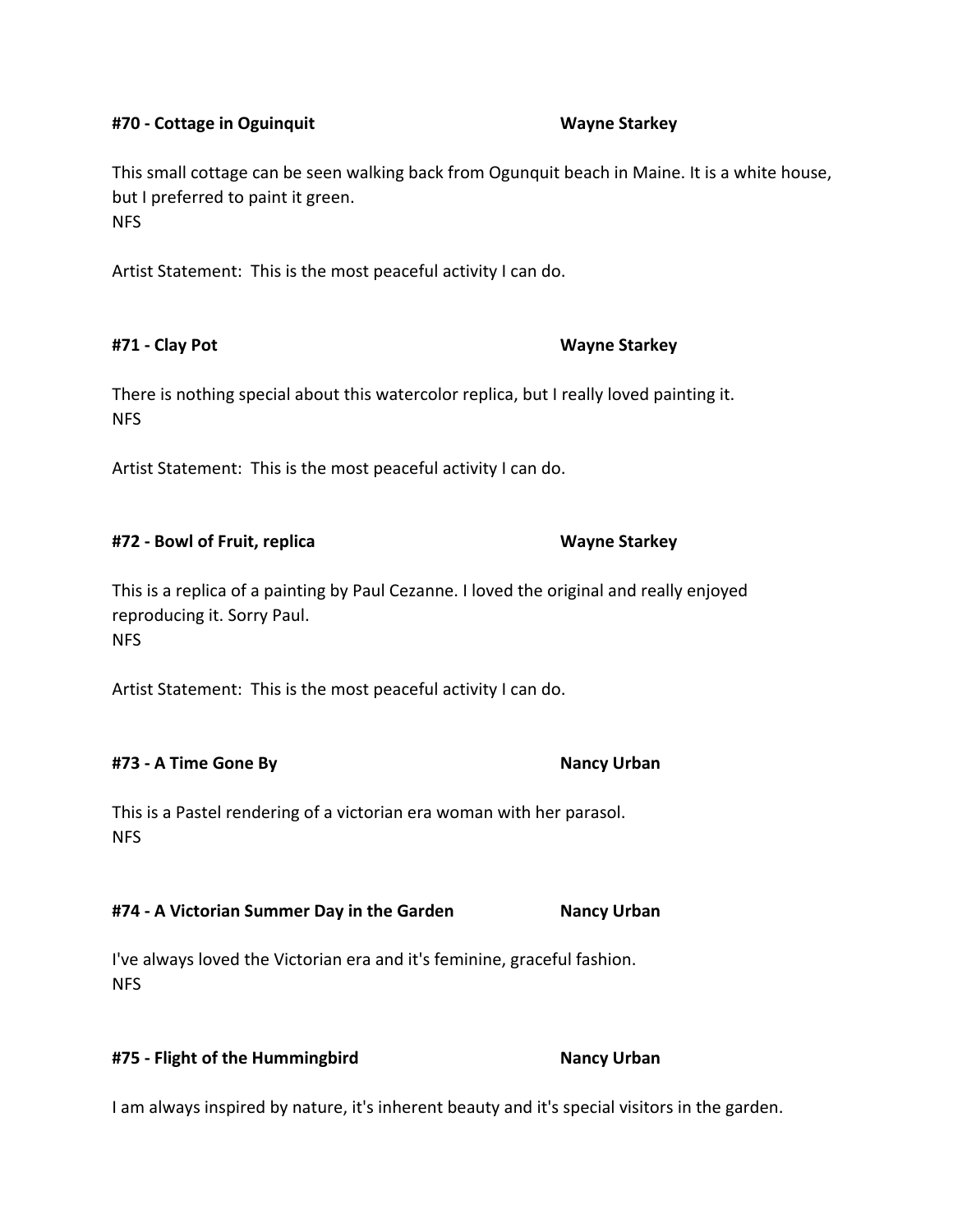# **#70 - Cottage in Oguinquit Wayne Starkey**

This small cottage can be seen walking back from Ogunquit beach in Maine. It is a white house, but I preferred to paint it green. **NFS** 

Artist Statement: This is the most peaceful activity I can do.

## **#71 - Clay Pot Wayne Starkey**

There is nothing special about this watercolor replica, but I really loved painting it. NFS

Artist Statement: This is the most peaceful activity I can do.

## **#72 - Bowl of Fruit, replica Wayne Starkey**

This is a replica of a painting by Paul Cezanne. I loved the original and really enjoyed reproducing it. Sorry Paul. NFS

Artist Statement: This is the most peaceful activity I can do.

## **#73 - A Time Gone By Nancy Urban**

This is a Pastel rendering of a victorian era woman with her parasol. **NFS** 

## **#74 - A Victorian Summer Day in the Garden Nancy Urban**

I've always loved the Victorian era and it's feminine, graceful fashion. NFS

### **#75 - Flight of the Hummingbird Nancy Urban**

I am always inspired by nature, it's inherent beauty and it's special visitors in the garden.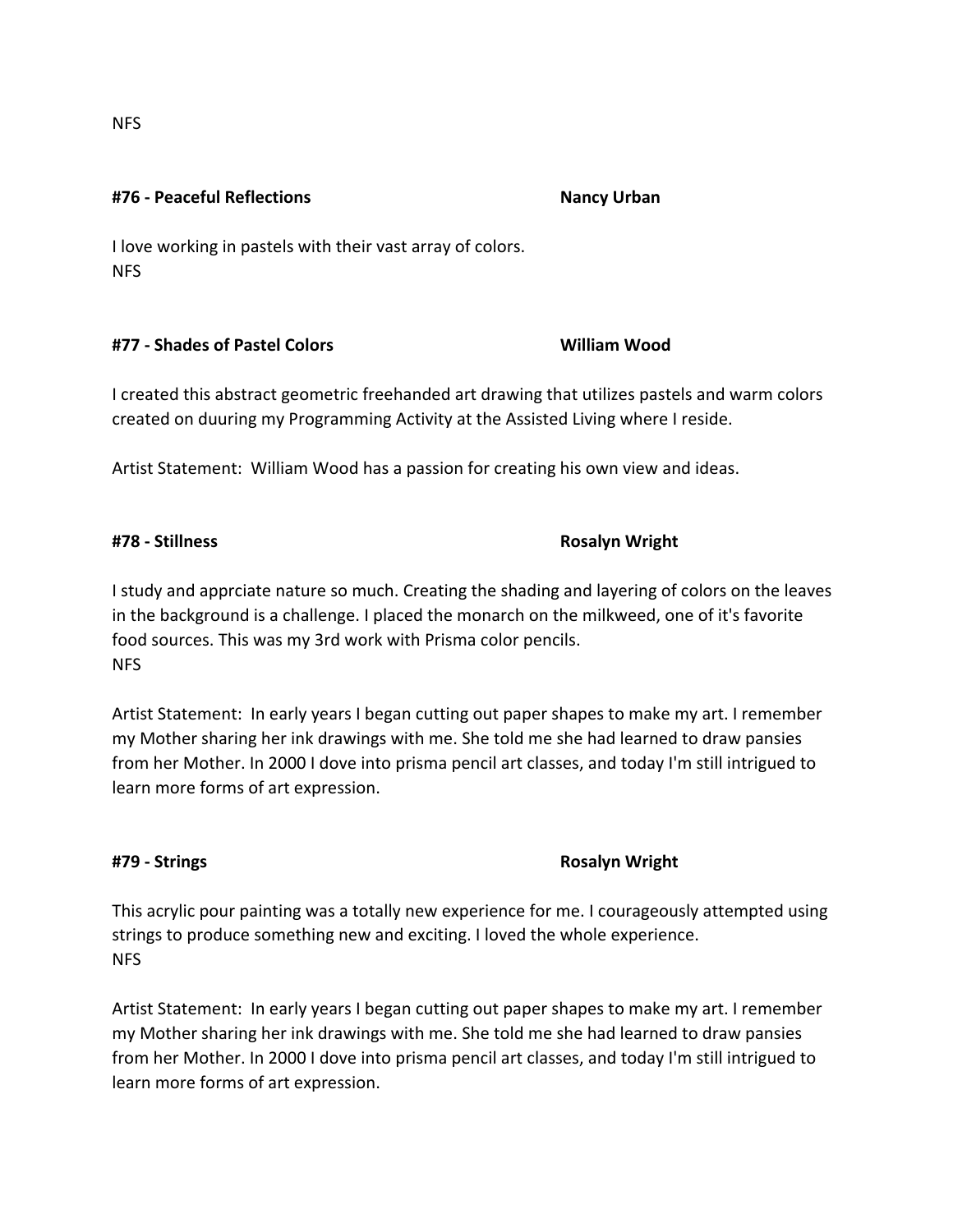**#76 - Peaceful Reflections Nancy Urban**

I love working in pastels with their vast array of colors. NFS

## **#77 - Shades of Pastel Colors William Wood**

I created this abstract geometric freehanded art drawing that utilizes pastels and warm colors created on duuring my Programming Activity at the Assisted Living where I reside.

Artist Statement: William Wood has a passion for creating his own view and ideas.

I study and apprciate nature so much. Creating the shading and layering of colors on the leaves in the background is a challenge. I placed the monarch on the milkweed, one of it's favorite food sources. This was my 3rd work with Prisma color pencils. NFS

Artist Statement: In early years I began cutting out paper shapes to make my art. I remember my Mother sharing her ink drawings with me. She told me she had learned to draw pansies from her Mother. In 2000 I dove into prisma pencil art classes, and today I'm still intrigued to learn more forms of art expression.

## **#79 - Strings Rosalyn Wright**

This acrylic pour painting was a totally new experience for me. I courageously attempted using strings to produce something new and exciting. I loved the whole experience. NFS

Artist Statement: In early years I began cutting out paper shapes to make my art. I remember my Mother sharing her ink drawings with me. She told me she had learned to draw pansies from her Mother. In 2000 I dove into prisma pencil art classes, and today I'm still intrigued to learn more forms of art expression.

NFS

**#78 - Stillness Rosalyn Wright**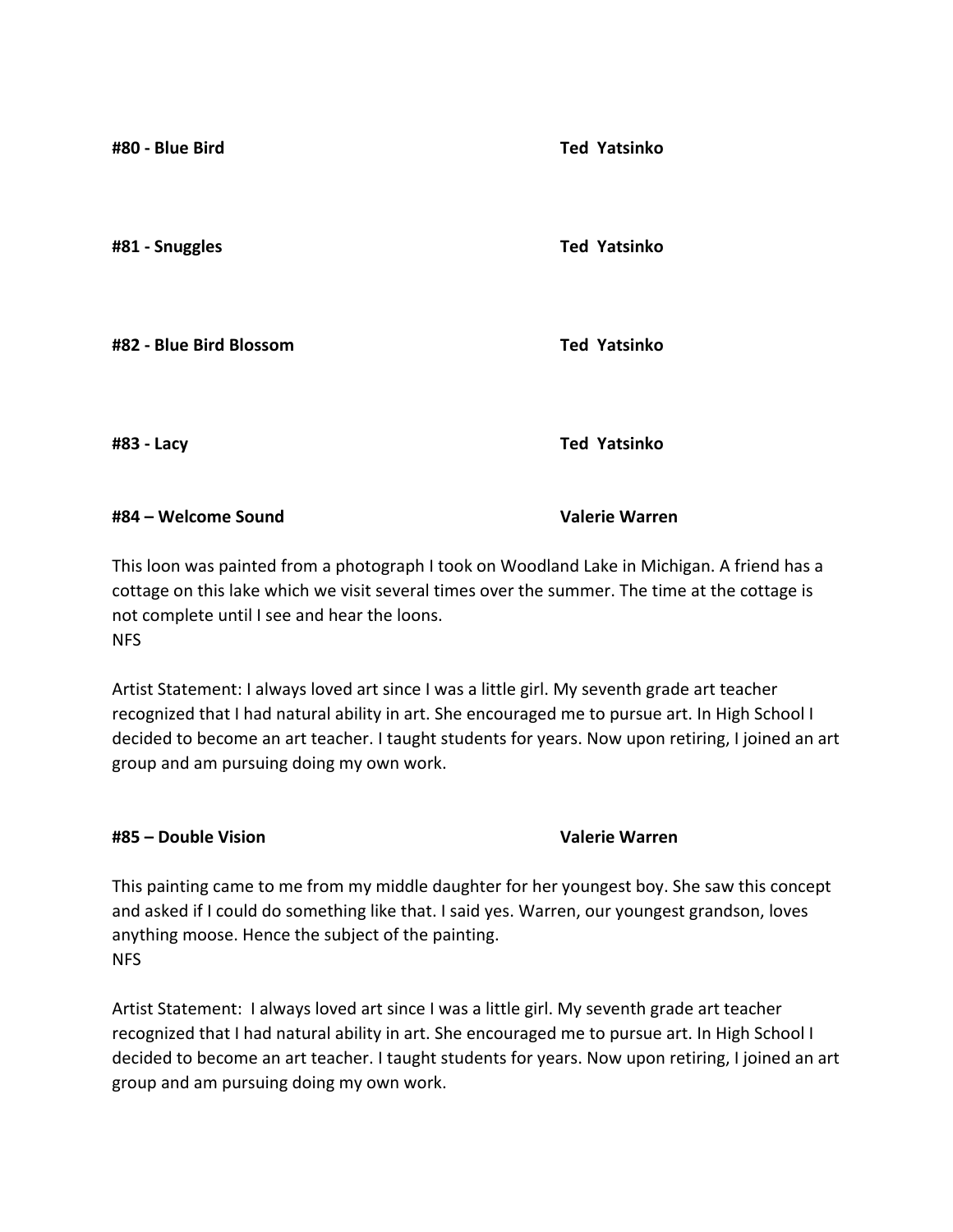**#80 - Blue Bird Ted Yatsinko #81 - Snuggles Ted Yatsinko #82 - Blue Bird Blossom Ted Yatsinko #83 - Lacy Ted Yatsinko #84 – Welcome Sound Valerie Warren**

This loon was painted from a photograph I took on Woodland Lake in Michigan. A friend has a cottage on this lake which we visit several times over the summer. The time at the cottage is not complete until I see and hear the loons. NFS

Artist Statement: I always loved art since I was a little girl. My seventh grade art teacher recognized that I had natural ability in art. She encouraged me to pursue art. In High School I decided to become an art teacher. I taught students for years. Now upon retiring, I joined an art group and am pursuing doing my own work.

## **#85 – Double Vision Valerie Warren**

This painting came to me from my middle daughter for her youngest boy. She saw this concept and asked if I could do something like that. I said yes. Warren, our youngest grandson, loves anything moose. Hence the subject of the painting. NFS

Artist Statement: I always loved art since I was a little girl. My seventh grade art teacher recognized that I had natural ability in art. She encouraged me to pursue art. In High School I decided to become an art teacher. I taught students for years. Now upon retiring, I joined an art group and am pursuing doing my own work.